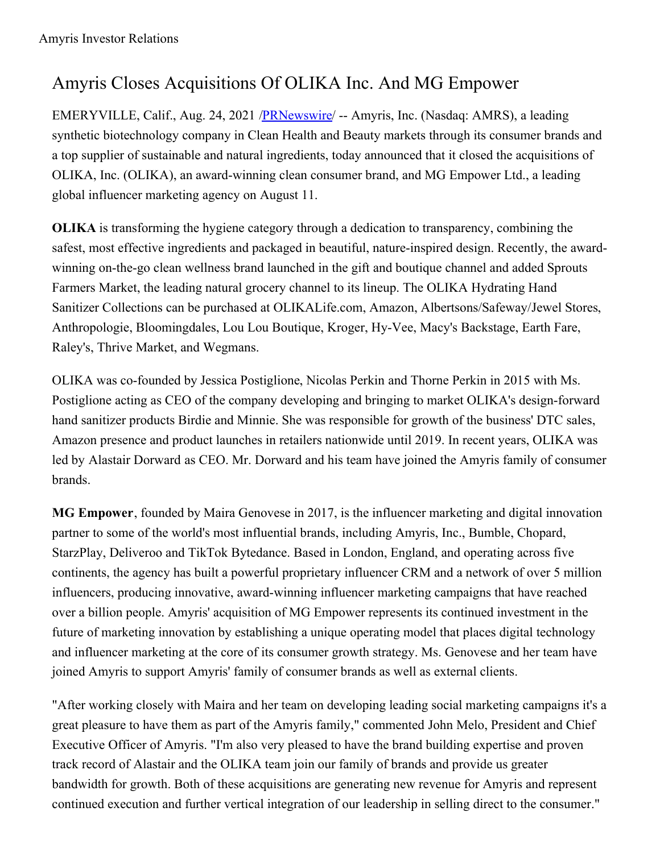# Amyris Closes Acquisitions Of OLIKA Inc. And MG Empower

EMERYVILLE, Calif., Aug. 24, 2021 [/PRNewswire](http://www.prnewswire.com/)/ -- Amyris, Inc. (Nasdaq: AMRS), a leading synthetic biotechnology company in Clean Health and Beauty markets through its consumer brands and a top supplier of sustainable and natural ingredients, today announced that it closed the acquisitions of OLIKA, Inc. (OLIKA), an award-winning clean consumer brand, and MG Empower Ltd., a leading global influencer marketing agency on August 11.

**OLIKA** is transforming the hygiene category through a dedication to transparency, combining the safest, most effective ingredients and packaged in beautiful, nature-inspired design. Recently, the awardwinning on-the-go clean wellness brand launched in the gift and boutique channel and added Sprouts Farmers Market, the leading natural grocery channel to its lineup. The OLIKA Hydrating Hand Sanitizer Collections can be purchased at OLIKALife.com, Amazon, Albertsons/Safeway/Jewel Stores, Anthropologie, Bloomingdales, Lou Lou Boutique, Kroger, Hy-Vee, Macy's Backstage, Earth Fare, Raley's, Thrive Market, and Wegmans.

OLIKA was co-founded by Jessica Postiglione, Nicolas Perkin and Thorne Perkin in 2015 with Ms. Postiglione acting as CEO of the company developing and bringing to market OLIKA's design-forward hand sanitizer products Birdie and Minnie. She was responsible for growth of the business' DTC sales, Amazon presence and product launches in retailers nationwide until 2019. In recent years, OLIKA was led by Alastair Dorward as CEO. Mr. Dorward and his team have joined the Amyris family of consumer brands.

**MG Empower**, founded by Maira Genovese in 2017, is the influencer marketing and digital innovation partner to some of the world's most influential brands, including Amyris, Inc., Bumble, Chopard, StarzPlay, Deliveroo and TikTok Bytedance. Based in London, England, and operating across five continents, the agency has built a powerful proprietary influencer CRM and a network of over 5 million influencers, producing innovative, award-winning influencer marketing campaigns that have reached over a billion people. Amyris' acquisition of MG Empower represents its continued investment in the future of marketing innovation by establishing a unique operating model that places digital technology and influencer marketing at the core of its consumer growth strategy. Ms. Genovese and her team have joined Amyris to support Amyris' family of consumer brands as well as external clients.

"After working closely with Maira and her team on developing leading social marketing campaigns it's a great pleasure to have them as part of the Amyris family," commented John Melo, President and Chief Executive Officer of Amyris. "I'm also very pleased to have the brand building expertise and proven track record of Alastair and the OLIKA team join our family of brands and provide us greater bandwidth for growth. Both of these acquisitions are generating new revenue for Amyris and represent continued execution and further vertical integration of our leadership in selling direct to the consumer."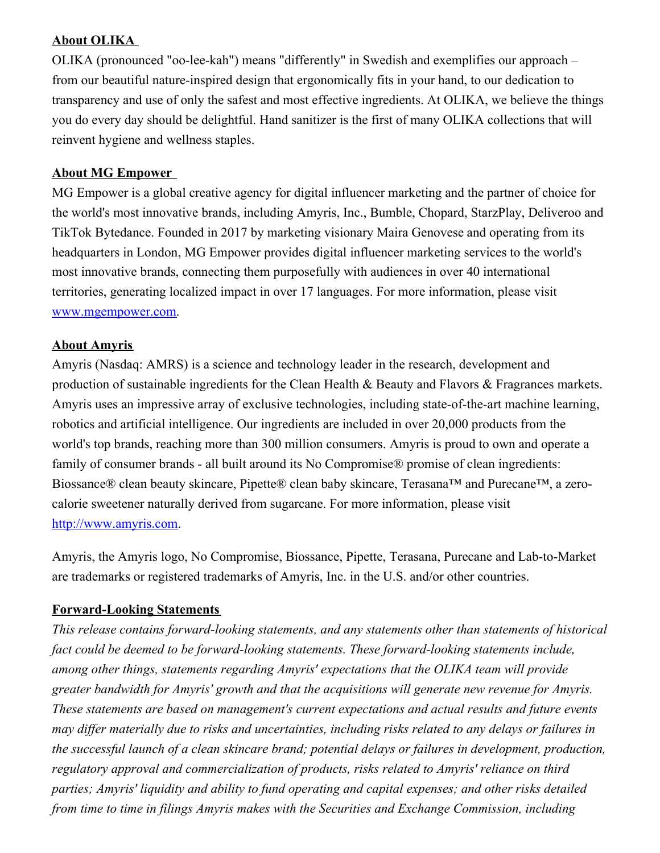## **About OLIKA**

OLIKA (pronounced "oo-lee-kah") means "differently" in Swedish and exemplifies our approach – from our beautiful nature-inspired design that ergonomically fits in your hand, to our dedication to transparency and use of only the safest and most effective ingredients. At OLIKA, we believe the things you do every day should be delightful. Hand sanitizer is the first of many OLIKA collections that will reinvent hygiene and wellness staples.

#### **About MG Empower**

MG Empower is a global creative agency for digital influencer marketing and the partner of choice for the world's most innovative brands, including Amyris, Inc., Bumble, Chopard, StarzPlay, Deliveroo and TikTok Bytedance. Founded in 2017 by marketing visionary Maira Genovese and operating from its headquarters in London, MG Empower provides digital influencer marketing services to the world's most innovative brands, connecting them purposefully with audiences in over 40 international territories, generating localized impact in over 17 languages. For more information, please visit [www.mgempower.com](https://c212.net/c/link/?t=0&l=en&o=3268429-1&h=4059413132&u=http%3A%2F%2Fwww.mgempower.com%2F&a=www.mgempower.com).

## **About Amyris**

Amyris (Nasdaq: AMRS) is a science and technology leader in the research, development and production of sustainable ingredients for the Clean Health & Beauty and Flavors & Fragrances markets. Amyris uses an impressive array of exclusive technologies, including state-of-the-art machine learning, robotics and artificial intelligence. Our ingredients are included in over 20,000 products from the world's top brands, reaching more than 300 million consumers. Amyris is proud to own and operate a family of consumer brands - all built around its No Compromise® promise of clean ingredients: Biossance® clean beauty skincare, Pipette® clean baby skincare, Terasana™ and Purecane™, a zerocalorie sweetener naturally derived from sugarcane. For more information, please visit [http://www.amyris.com](https://c212.net/c/link/?t=0&l=en&o=3268429-1&h=4124565939&u=http%3A%2F%2Fwww.amyris.com%2F&a=http%3A%2F%2Fwww.amyris.com).

Amyris, the Amyris logo, No Compromise, Biossance, Pipette, Terasana, Purecane and Lab-to-Market are trademarks or registered trademarks of Amyris, Inc. in the U.S. and/or other countries.

# **Forward-Looking Statements**

*This release contains forward-looking statements, and any statements other than statements of historical fact could be deemed to be forward-looking statements. These forward-looking statements include, among other things, statements regarding Amyris' expectations that the OLIKA team will provide greater bandwidth for Amyris' growth and that the acquisitions will generate new revenue for Amyris. These statements are based on management's current expectations and actual results and future events* may differ materially due to risks and uncertainties, including risks related to any delays or failures in *the successful launch of a clean skincare brand; potential delays or failures in development, production, regulatory approval and commercialization of products, risks related to Amyris' reliance on third parties; Amyris' liquidity and ability to fund operating and capital expenses; and other risks detailed from time to time in filings Amyris makes with the Securities and Exchange Commission, including*